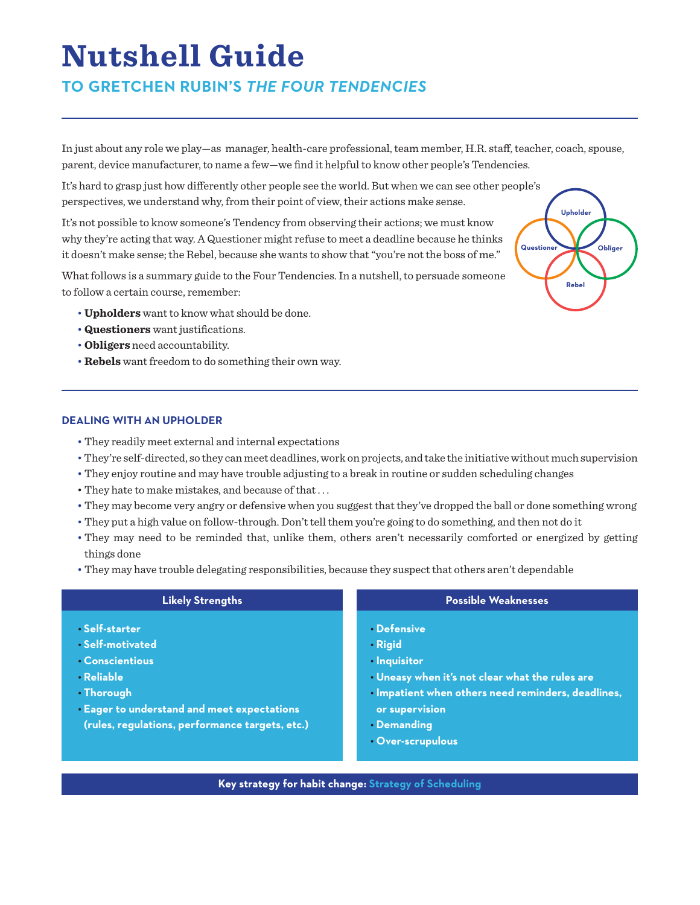# **Nutshell Guide**

## **TO GRETCHEN RUBIN'S** *THE FOUR TENDENCIES*

In just about any role we play—as manager, health-care professional, team member, H.R. staff, teacher, coach, spouse, parent, device manufacturer, to name a few—we find it helpful to know other people's Tendencies.

**Upholder**

**Questioner**

**Rebel**

**Obliger**

It's hard to grasp just how differently other people see the world. But when we can see other people's perspectives, we understand why, from their point of view, their actions make sense.

It's not possible to know someone's Tendency from observing their actions; we must know why they're acting that way. A Questioner might refuse to meet a deadline because he thinks it doesn't make sense; the Rebel, because she wants to show that "you're not the boss of me."

What follows is a summary guide to the Four Tendencies. In a nutshell, to persuade someone to follow a certain course, remember:



- **Questioners** want justifications.
- **Obligers** need accountability.
- **Rebels** want freedom to do something their own way.

### **DEALING WITH AN UPHOLDER**

- They readily meet external and internal expectations
- They're self-directed, so they can meet deadlines, work on projects, and take the initiative without much supervision
- They enjoy routine and may have trouble adjusting to a break in routine or sudden scheduling changes
- They hate to make mistakes, and because of that . . .
- They may become very angry or defensive when you suggest that they've dropped the ball or done something wrong
- They put a high value on follow-through. Don't tell them you're going to do something, and then not do it
- They may need to be reminded that, unlike them, others aren't necessarily comforted or energized by getting things done
- They may have trouble delegating responsibilities, because they suspect that others aren't dependable

| <b>Likely Strengths</b>                                                                                                                                                             | <b>Possible Weaknesses</b>                                                                                                                                                                                   |
|-------------------------------------------------------------------------------------------------------------------------------------------------------------------------------------|--------------------------------------------------------------------------------------------------------------------------------------------------------------------------------------------------------------|
| • Self-starter<br>· Self-motivated<br>• Conscientious<br>• Reliable<br>• Thorough<br>. Eager to understand and meet expectations<br>(rules, regulations, performance targets, etc.) | • Defensive<br>· Rigid<br>· Inquisitor<br>. Uneasy when it's not clear what the rules are<br>· Impatient when others need reminders, deadlines,<br>or supervision<br><b>· Demanding</b><br>• Over-scrupulous |

**Key strategy for habit change: Strategy of Scheduling**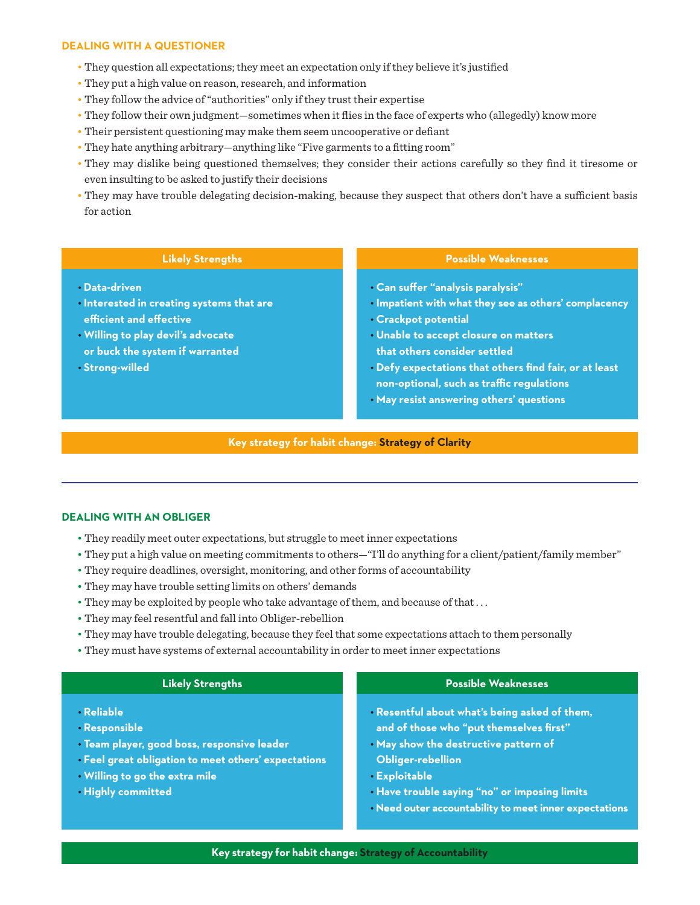#### **DEALING WITH A QUESTIONER**

- They question all expectations; they meet an expectation only if they believe it's justified
- They put a high value on reason, research, and information
- They follow the advice of "authorities" only if they trust their expertise
- They follow their own judgment—sometimes when it flies in the face of experts who (allegedly) know more
- Their persistent questioning may make them seem uncooperative or defiant
- They hate anything arbitrary—anything like "Five garments to a fitting room"
- They may dislike being questioned themselves; they consider their actions carefully so they find it tiresome or even insulting to be asked to justify their decisions
- They may have trouble delegating decision-making, because they suspect that others don't have a sufficient basis for action

#### **Likely Strengths**

- **Data-driven**
- **• Interested in creating systems that are efficient and effective**
- **• Willing to play devil's advocate or buck the system if warranted**
- **Strong-willed**

#### **Possible Weaknesses**

- **Can suffer "analysis paralysis"**
- **Impatient with what they see as others' complacency**
- **Crackpot potential**
- **• Unable to accept closure on matters that others consider settled**
- **• Defy expectations that others find fair, or at least non-optional, such as traffic regulations**
- **May resist answering others' questions**

**Key strategy for habit change: Strategy of Clarity**

#### **DEALING WITH AN OBLIGER**

- They readily meet outer expectations, but struggle to meet inner expectations
- They put a high value on meeting commitments to others—"I'll do anything for a client/patient/family member"
- They require deadlines, oversight, monitoring, and other forms of accountability
- They may have trouble setting limits on others' demands
- They may be exploited by people who take advantage of them, and because of that . . .
- They may feel resentful and fall into Obliger-rebellion
- They may have trouble delegating, because they feel that some expectations attach to them personally
- They must have systems of external accountability in order to meet inner expectations

| <b>Likely Strengths</b>                                                                                                                                                                  | <b>Possible Weaknesses</b>                                                                                                                                                                                                                                                                 |
|------------------------------------------------------------------------------------------------------------------------------------------------------------------------------------------|--------------------------------------------------------------------------------------------------------------------------------------------------------------------------------------------------------------------------------------------------------------------------------------------|
| · Reliable<br>· Responsible<br>· Team player, good boss, responsive leader<br>Feel great obligation to meet others' expectations<br>· Willing to go the extra mile<br>· Highly committed | . Resentful about what's being asked of them,<br>and of those who "put themselves first"<br>May show the destructive pattern of<br><b>Obliger-rebellion</b><br><b>Exploitable</b><br>. Have trouble saying "no" or imposing limits<br>Need outer accountability to meet inner expectations |